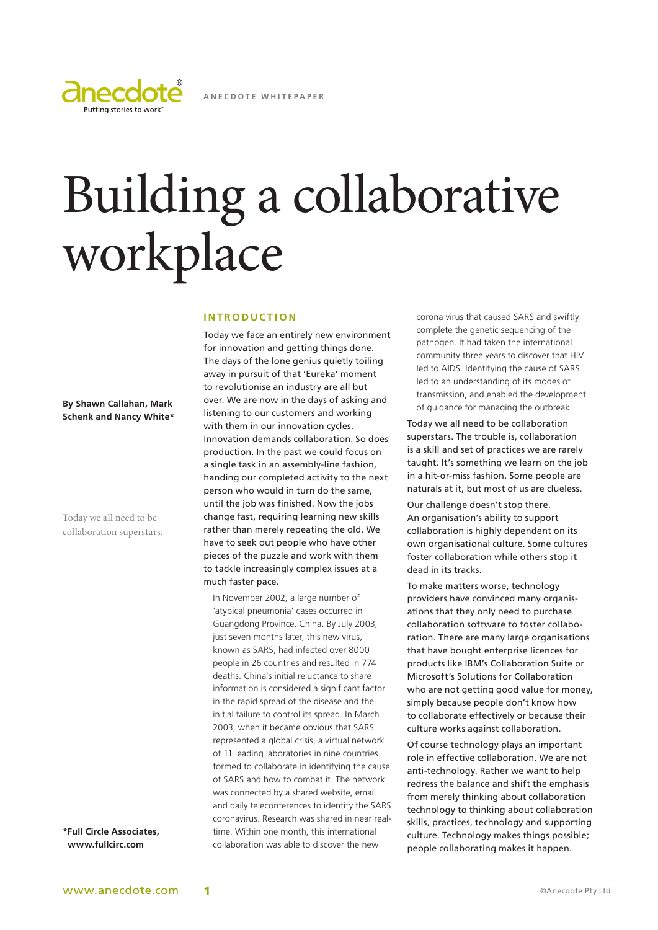

# Building a collaborative workplace

#### **I n t r o d u c t i o n**

Today we face an entirely new environment for innovation and getting things done. The days of the lone genius quietly toiling away in pursuit of that 'Eureka' moment to revolutionise an industry are all but over. We are now in the days of asking and listening to our customers and working with them in our innovation cycles. Innovation demands collaboration. So does production. In the past we could focus on a single task in an assembly-line fashion, handing our completed activity to the next person who would in turn do the same, until the job was finished. Now the jobs change fast, requiring learning new skills rather than merely repeating the old. We have to seek out people who have other pieces of the puzzle and work with them to tackle increasingly complex issues at a much faster pace.

In November 2002, a large number of 'atypical pneumonia' cases occurred in Guangdong Province, China. By July 2003, just seven months later, this new virus, known as SARS, had infected over 8000 people in 26 countries and resulted in 774 deaths. China's initial reluctance to share information is considered a significant factor in the rapid spread of the disease and the initial failure to control its spread. In March 2003, when it became obvious that SARS represented a global crisis, a virtual network of 11 leading laboratories in nine countries formed to collaborate in identifying the cause of SARS and how to combat it. The network was connected by a shared website, email and daily teleconferences to identify the SARS coronavirus. Research was shared in near realtime. Within one month, this international collaboration was able to discover the new

corona virus that caused SARS and swiftly complete the genetic sequencing of the pathogen. It had taken the international community three years to discover that HIV led to AIDS. Identifying the cause of SARS led to an understanding of its modes of transmission, and enabled the development of guidance for managing the outbreak.

Today we all need to be collaboration superstars. The trouble is, collaboration is a skill and set of practices we are rarely taught. It's something we learn on the job in a hit-or-miss fashion. Some people are naturals at it, but most of us are clueless.

Our challenge doesn't stop there. An organisation's ability to support collaboration is highly dependent on its own organisational culture. Some cultures foster collaboration while others stop it dead in its tracks.

To make matters worse, technology providers have convinced many organisations that they only need to purchase collaboration software to foster collaboration. There are many large organisations that have bought enterprise licences for products like IBM's Collaboration Suite or Microsoft's Solutions for Collaboration who are not getting good value for money, simply because people don't know how to collaborate effectively or because their culture works against collaboration.

Of course technology plays an important role in effective collaboration. We are not anti-technology. Rather we want to help redress the balance and shift the emphasis from merely thinking about collaboration technology to thinking about collaboration skills, practices, technology and supporting culture. Technology makes things possible; people collaborating makes it happen.

**By Shawn Callahan, Mark Schenk and Nancy White\***

Today we all need to be collaboration superstars.

**\*Full Circle Associates, www.fullcirc.com**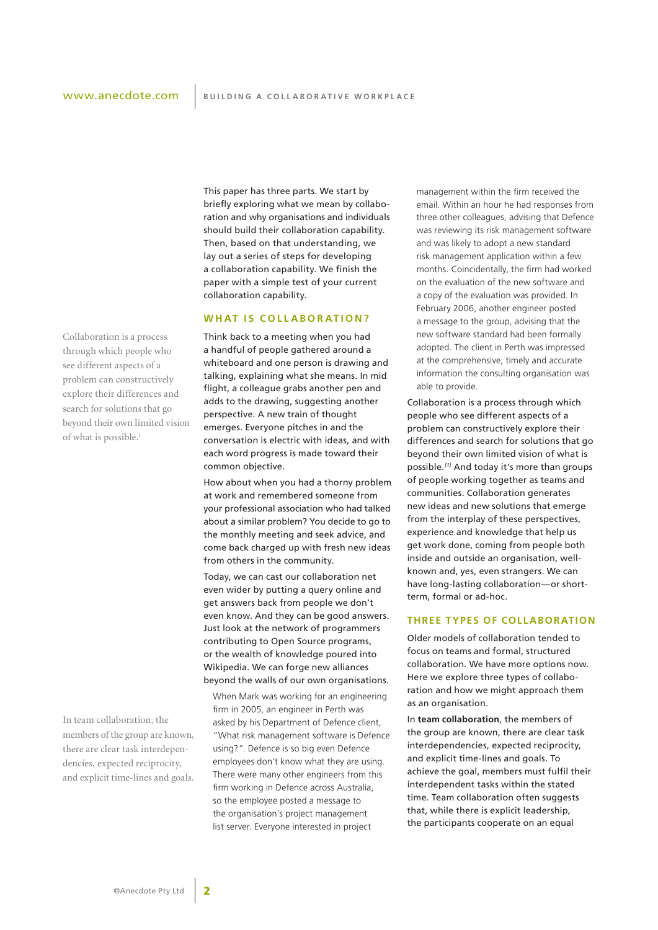This paper has three parts. We start by briefly exploring what we mean by collaboration and why organisations and individuals should build their collaboration capability. Then, based on that understanding, we lay out a series of steps for developing a collaboration capability. We finish the paper with a simple test of your current collaboration capability.

#### **WHAT IS COLLABORATION?**

Think back to a meeting when you had a handful of people gathered around a whiteboard and one person is drawing and talking, explaining what she means. In mid flight, a colleague grabs another pen and adds to the drawing, suggesting another perspective. A new train of thought emerges. Everyone pitches in and the conversation is electric with ideas, and with each word progress is made toward their common objective.

How about when you had a thorny problem at work and remembered someone from your professional association who had talked about a similar problem? You decide to go to the monthly meeting and seek advice, and come back charged up with fresh new ideas from others in the community.

Today, we can cast our collaboration net even wider by putting a query online and get answers back from people we don't even know. And they can be good answers. Just look at the network of programmers contributing to Open Source programs, or the wealth of knowledge poured into Wikipedia. We can forge new alliances beyond the walls of our own organisations.

When Mark was working for an engineering firm in 2005, an engineer in Perth was asked by his Department of Defence client, "What risk management software is Defence using?". Defence is so big even Defence employees don't know what they are using. There were many other engineers from this firm working in Defence across Australia, so the employee posted a message to the organisation's project management list server. Everyone interested in project

management within the firm received the email. Within an hour he had responses from three other colleagues, advising that Defence was reviewing its risk management software and was likely to adopt a new standard risk management application within a few months. Coincidentally, the firm had worked on the evaluation of the new software and a copy of the evaluation was provided. In February 2006, another engineer posted a message to the group, advising that the new software standard had been formally adopted. The client in Perth was impressed at the comprehensive, timely and accurate information the consulting organisation was able to provide.

Collaboration is a process through which people who see different aspects of a problem can constructively explore their differences and search for solutions that go beyond their own limited vision of what is possible.*[1]* And today it's more than groups of people working together as teams and communities. Collaboration generates new ideas and new solutions that emerge from the interplay of these perspectives, experience and knowledge that help us get work done, coming from people both inside and outside an organisation, wellknown and, yes, even strangers. We can have long-lasting collaboration—or shortterm, formal or ad-hoc.

#### **Three types of collaboration**

Older models of collaboration tended to focus on teams and formal, structured collaboration. We have more options now. Here we explore three types of collaboration and how we might approach them as an organisation.

In **team collaboration**, the members of the group are known, there are clear task interdependencies, expected reciprocity, and explicit time-lines and goals. To achieve the goal, members must fulfil their interdependent tasks within the stated time. Team collaboration often suggests that, while there is explicit leadership, the participants cooperate on an equal

Collaboration is a process through which people who see different aspects of a problem can constructively explore their differences and search for solutions that go beyond their own limited vision of what is possible.<sup>1</sup>

In team collaboration, the members of the group are known, there are clear task interdependencies, expected reciprocity, and explicit time-lines and goals.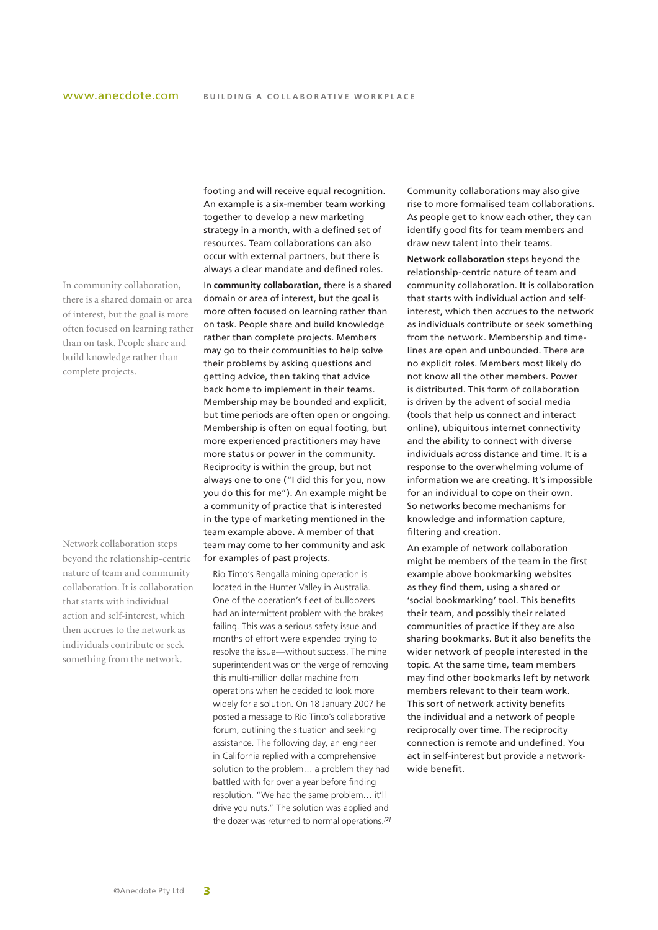# www.anecdote.com

In community collaboration, there is a shared domain or area of interest, but the goal is more often focused on learning rather than on task. People share and build knowledge rather than complete projects.

Network collaboration steps beyond the relationship-centric nature of team and community collaboration. It is collaboration that starts with individual action and self-interest, which then accrues to the network as individuals contribute or seek something from the network.

footing and will receive equal recognition. An example is a six-member team working together to develop a new marketing strategy in a month, with a defined set of resources. Team collaborations can also occur with external partners, but there is always a clear mandate and defined roles.

In **community collaboration**, there is a shared domain or area of interest, but the goal is more often focused on learning rather than on task. People share and build knowledge rather than complete projects. Members may go to their communities to help solve their problems by asking questions and getting advice, then taking that advice back home to implement in their teams. Membership may be bounded and explicit, but time periods are often open or ongoing. Membership is often on equal footing, but more experienced practitioners may have more status or power in the community. Reciprocity is within the group, but not always one to one ("I did this for you, now you do this for me"). An example might be a community of practice that is interested in the type of marketing mentioned in the team example above. A member of that team may come to her community and ask for examples of past projects.

Rio Tinto's Bengalla mining operation is located in the Hunter Valley in Australia. One of the operation's fleet of bulldozers had an intermittent problem with the brakes failing. This was a serious safety issue and months of effort were expended trying to resolve the issue—without success. The mine superintendent was on the verge of removing this multi-million dollar machine from operations when he decided to look more widely for a solution. On 18 January 2007 he posted a message to Rio Tinto's collaborative forum, outlining the situation and seeking assistance. The following day, an engineer in California replied with a comprehensive solution to the problem… a problem they had battled with for over a year before finding resolution. "We had the same problem… it'll drive you nuts." The solution was applied and the dozer was returned to normal operations.*[2]* Community collaborations may also give rise to more formalised team collaborations. As people get to know each other, they can identify good fits for team members and draw new talent into their teams.

**Network collaboration** steps beyond the relationship-centric nature of team and community collaboration. It is collaboration that starts with individual action and selfinterest, which then accrues to the network as individuals contribute or seek something from the network. Membership and timelines are open and unbounded. There are no explicit roles. Members most likely do not know all the other members. Power is distributed. This form of collaboration is driven by the advent of social media (tools that help us connect and interact online), ubiquitous internet connectivity and the ability to connect with diverse individuals across distance and time. It is a response to the overwhelming volume of information we are creating. It's impossible for an individual to cope on their own. So networks become mechanisms for knowledge and information capture, filtering and creation.

An example of network collaboration might be members of the team in the first example above bookmarking websites as they find them, using a shared or 'social bookmarking' tool. This benefits their team, and possibly their related communities of practice if they are also sharing bookmarks. But it also benefits the wider network of people interested in the topic. At the same time, team members may find other bookmarks left by network members relevant to their team work. This sort of network activity benefits the individual and a network of people reciprocally over time. The reciprocity connection is remote and undefined. You act in self-interest but provide a networkwide benefit.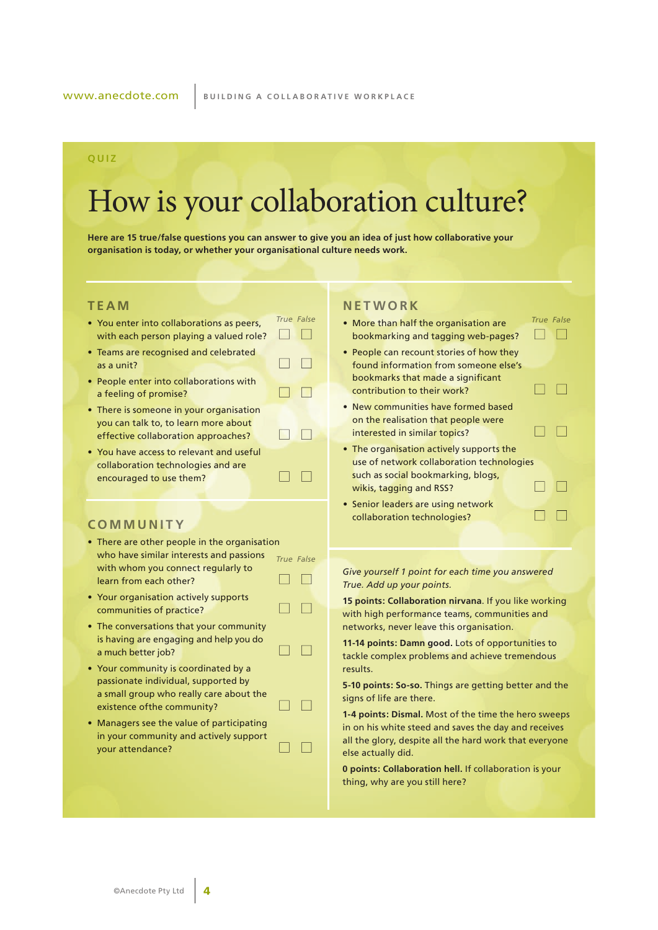#### **Q UI Z**

# How is your collaboration culture?

**Here are 15 true/false questions you can answer to give you an idea of just how collaborative your organisation is today, or whether your organisational culture needs work.**

 $\Box$ 

 $\Box$  $\Box$ 

 $\Box$ 

 $\Box$  $\Box$ 

 $\Box$   $\Box$ 

n n

 $\Box$  $\Box$ 

 $\Box$  $\Box$ 

 $\Box$  $\Box$ 

## **T e a m**

- You enter into collaborations as peers. with each person playing a valued role?
- Teams are recognised and celebrated as a unit?
- People enter into collaborations with a feeling of promise?
- There is someone in your organisation you can talk to, to learn more about effective collaboration approaches?
- You have access to relevant and useful collaboration technologies and are encouraged to use them?

#### **C o m m u n i t y**

- There are other people in the organisation who have similar interests and passions *True False* with whom you connect regularly to learn from each other? n n
- Your organisation actively supports communities of practice?
- The conversations that your community is having are engaging and help you do a much better job?
- Your community is coordinated by a passionate individual, supported by a small group who really care about the existence ofthe community?
- Managers see the value of participating in your community and actively support your attendance?

## **N e t w o r k**

• More than half the organisation are *True False True False* bookmarking and tagging web-pages? 

 $\Box$ 

 $\Box$   $\Box$ 

 $\Box$  $\Box$ 

 $\Box$  $\Box$ 

- People can recount stories of how they found information from someone else's bookmarks that made a significant contribution to their work?
- New communities have formed based on the realisation that people were interested in similar topics?
- The organisation actively supports the use of network collaboration technologies such as social bookmarking, blogs,  $\Box$  $\Box$ wikis, tagging and RSS?
- Senior leaders are using network collaboration technologies?

*Give yourself 1 point for each time you answered True. Add up your points.*

**15 points: Collaboration nirvana**. If you like working with high performance teams, communities and networks, never leave this organisation.

**11-14 points: Damn good.** Lots of opportunities to tackle complex problems and achieve tremendous results.

**5-10 points: So-so.** Things are getting better and the signs of life are there.

**1-4 points: Dismal.** Most of the time the hero sweeps in on his white steed and saves the day and receives all the glory, despite all the hard work that everyone else actually did.

**0 points: Collaboration hell.** If collaboration is your thing, why are you still here?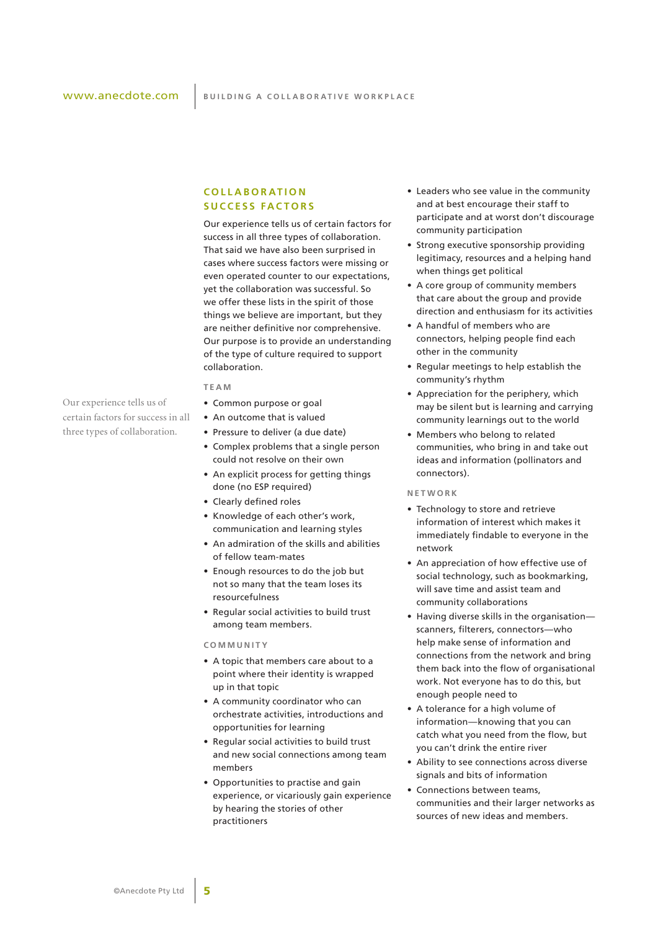#### **C o l l ab o r at i o n s u c c e ss fa c t o r s**

Our experience tells us of certain factors for success in all three types of collaboration. That said we have also been surprised in cases where success factors were missing or even operated counter to our expectations, yet the collaboration was successful. So we offer these lists in the spirit of those things we believe are important, but they are neither definitive nor comprehensive. Our purpose is to provide an understanding of the type of culture required to support collaboration.

**T e am**

- Common purpose or goal
- An outcome that is valued
- Pressure to deliver (a due date)
- Complex problems that a single person could not resolve on their own
- An explicit process for getting things done (no ESP required)
- Clearly defined roles
- Knowledge of each other's work, communication and learning styles
- An admiration of the skills and abilities of fellow team-mates
- Enough resources to do the job but not so many that the team loses its resourcefulness
- Regular social activities to build trust among team members.

#### **C o mm u n i t y**

- A topic that members care about to a point where their identity is wrapped up in that topic
- A community coordinator who can orchestrate activities, introductions and opportunities for learning
- Regular social activities to build trust and new social connections among team members
- Opportunities to practise and gain experience, or vicariously gain experience by hearing the stories of other practitioners
- Leaders who see value in the community and at best encourage their staff to participate and at worst don't discourage community participation
- Strong executive sponsorship providing legitimacy, resources and a helping hand when things get political
- A core group of community members that care about the group and provide direction and enthusiasm for its activities
- A handful of members who are connectors, helping people find each other in the community
- Regular meetings to help establish the community's rhythm
- Appreciation for the periphery, which may be silent but is learning and carrying community learnings out to the world
- Members who belong to related communities, who bring in and take out ideas and information (pollinators and connectors).

#### **N e t w o r k**

- Technology to store and retrieve information of interest which makes it immediately findable to everyone in the network
- An appreciation of how effective use of social technology, such as bookmarking, will save time and assist team and community collaborations
- Having diverse skills in the organisation scanners, filterers, connectors—who help make sense of information and connections from the network and bring them back into the flow of organisational work. Not everyone has to do this, but enough people need to
- A tolerance for a high volume of information—knowing that you can catch what you need from the flow, but you can't drink the entire river
- Ability to see connections across diverse signals and bits of information
- Connections between teams, communities and their larger networks as sources of new ideas and members.

Our experience tells us of certain factors for success in all three types of collaboration.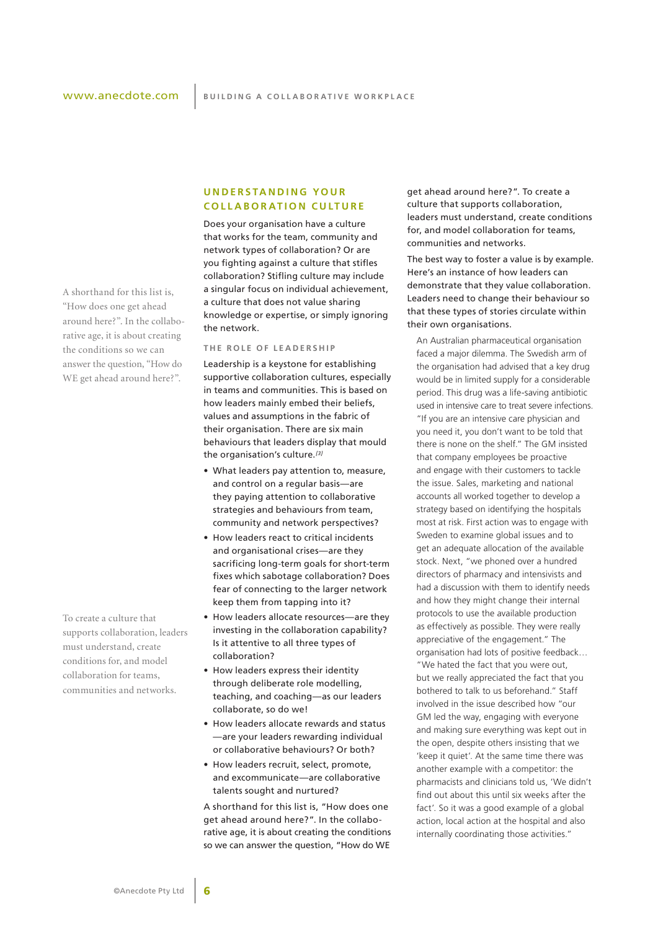A shorthand for this list is, "How does one get ahead around here?". In the collaborative age, it is about creating the conditions so we can answer the question, "How do WE get ahead around here?".

To create a culture that supports collaboration, leaders must understand, create conditions for, and model collaboration for teams, communities and networks.

#### **U n d e r s ta n d i n g yo u r COLLABORATION CULTURE**

Does your organisation have a culture that works for the team, community and network types of collaboration? Or are you fighting against a culture that stifles collaboration? Stifling culture may include a singular focus on individual achievement, a culture that does not value sharing knowledge or expertise, or simply ignoring the network.

#### **T h e r o l e o f l e a d e r s h i p**

Leadership is a keystone for establishing supportive collaboration cultures, especially in teams and communities. This is based on how leaders mainly embed their beliefs, values and assumptions in the fabric of their organisation. There are six main behaviours that leaders display that mould the organisation's culture.*[3]*

- What leaders pay attention to, measure, and control on a regular basis—are they paying attention to collaborative strategies and behaviours from team, community and network perspectives?
- How leaders react to critical incidents and organisational crises—are they sacrificing long-term goals for short-term fixes which sabotage collaboration? Does fear of connecting to the larger network keep them from tapping into it?
- How leaders allocate resources—are they investing in the collaboration capability? Is it attentive to all three types of collaboration?
- How leaders express their identity through deliberate role modelling, teaching, and coaching—as our leaders collaborate, so do we!
- How leaders allocate rewards and status —are your leaders rewarding individual or collaborative behaviours? Or both?
- How leaders recruit, select, promote, and excommunicate—are collaborative talents sought and nurtured?

A shorthand for this list is, "How does one get ahead around here?". In the collaborative age, it is about creating the conditions so we can answer the question, "How do WE

get ahead around here?". To create a culture that supports collaboration, leaders must understand, create conditions for, and model collaboration for teams, communities and networks.

The best way to foster a value is by example. Here's an instance of how leaders can demonstrate that they value collaboration. Leaders need to change their behaviour so that these types of stories circulate within their own organisations.

An Australian pharmaceutical organisation faced a major dilemma. The Swedish arm of the organisation had advised that a key drug would be in limited supply for a considerable period. This drug was a life-saving antibiotic used in intensive care to treat severe infections. "If you are an intensive care physician and you need it, you don't want to be told that there is none on the shelf." The GM insisted that company employees be proactive and engage with their customers to tackle the issue. Sales, marketing and national accounts all worked together to develop a strategy based on identifying the hospitals most at risk. First action was to engage with Sweden to examine global issues and to get an adequate allocation of the available stock. Next, "we phoned over a hundred directors of pharmacy and intensivists and had a discussion with them to identify needs and how they might change their internal protocols to use the available production as effectively as possible. They were really appreciative of the engagement." The organisation had lots of positive feedback… "We hated the fact that you were out, but we really appreciated the fact that you bothered to talk to us beforehand." Staff involved in the issue described how "our GM led the way, engaging with everyone and making sure everything was kept out in the open, despite others insisting that we 'keep it quiet'. At the same time there was another example with a competitor: the pharmacists and clinicians told us, 'We didn't find out about this until six weeks after the fact'. So it was a good example of a global action, local action at the hospital and also internally coordinating those activities."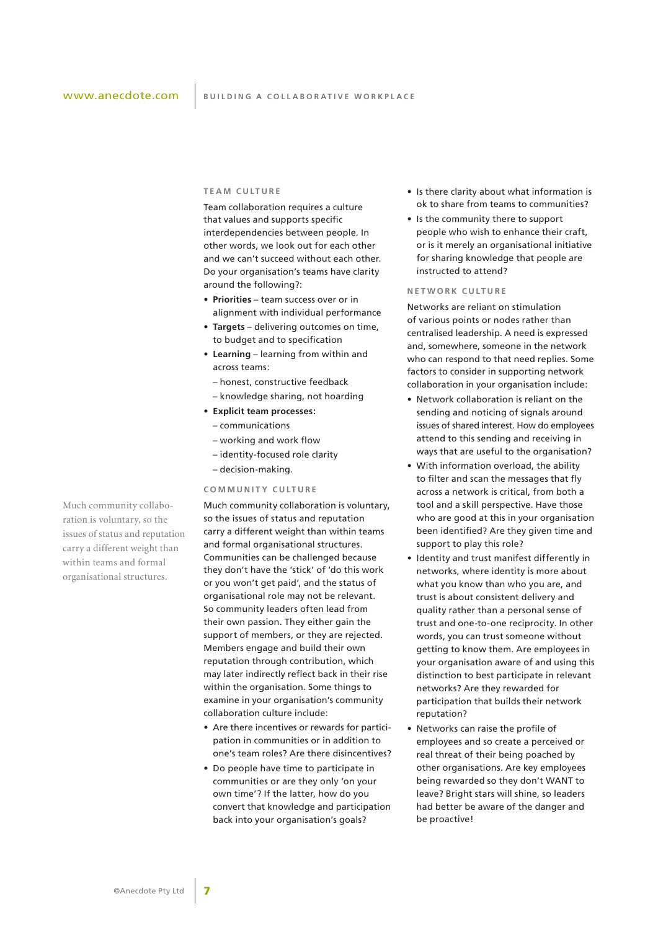#### **T e am c u lt u r e**

Team collaboration requires a culture that values and supports specific interdependencies between people. In other words, we look out for each other and we can't succeed without each other. Do your organisation's teams have clarity around the following?:

- **Priorities** team success over or in alignment with individual performance
- **Targets**  delivering outcomes on time, to budget and to specification
- **Learning** learning from within and across teams:
	- honest, constructive feedback
	- knowledge sharing, not hoarding
- **• Explicit team processes:**
	- communications
	- working and work flow
	- identity-focused role clarity
	- decision-making.

#### **C o mm u n i t y c u lt u r e**

Much community collaboration is voluntary, so the issues of status and reputation carry a different weight than within teams and formal organisational structures. Communities can be challenged because they don't have the 'stick' of 'do this work or you won't get paid', and the status of organisational role may not be relevant. So community leaders often lead from their own passion. They either gain the support of members, or they are rejected. Members engage and build their own reputation through contribution, which may later indirectly reflect back in their rise within the organisation. Some things to examine in your organisation's community collaboration culture include:

- Are there incentives or rewards for participation in communities or in addition to one's team roles? Are there disincentives?
- Do people have time to participate in communities or are they only 'on your own time'? If the latter, how do you convert that knowledge and participation back into your organisation's goals?
- Is there clarity about what information is ok to share from teams to communities?
- Is the community there to support people who wish to enhance their craft, or is it merely an organisational initiative for sharing knowledge that people are instructed to attend?

#### **N e t w o r k c u lt u r e**

Networks are reliant on stimulation of various points or nodes rather than centralised leadership. A need is expressed and, somewhere, someone in the network who can respond to that need replies. Some factors to consider in supporting network collaboration in your organisation include:

- Network collaboration is reliant on the sending and noticing of signals around issues of shared interest. How do employees attend to this sending and receiving in ways that are useful to the organisation?
- With information overload, the ability to filter and scan the messages that fly across a network is critical, from both a tool and a skill perspective. Have those who are good at this in your organisation been identified? Are they given time and support to play this role?
- Identity and trust manifest differently in networks, where identity is more about what you know than who you are, and trust is about consistent delivery and quality rather than a personal sense of trust and one-to-one reciprocity. In other words, you can trust someone without getting to know them. Are employees in your organisation aware of and using this distinction to best participate in relevant networks? Are they rewarded for participation that builds their network reputation?
- Networks can raise the profile of employees and so create a perceived or real threat of their being poached by other organisations. Are key employees being rewarded so they don't WANT to leave? Bright stars will shine, so leaders had better be aware of the danger and be proactive!

Much community collaboration is voluntary, so the issues of status and reputation carry a different weight than within teams and formal organisational structures.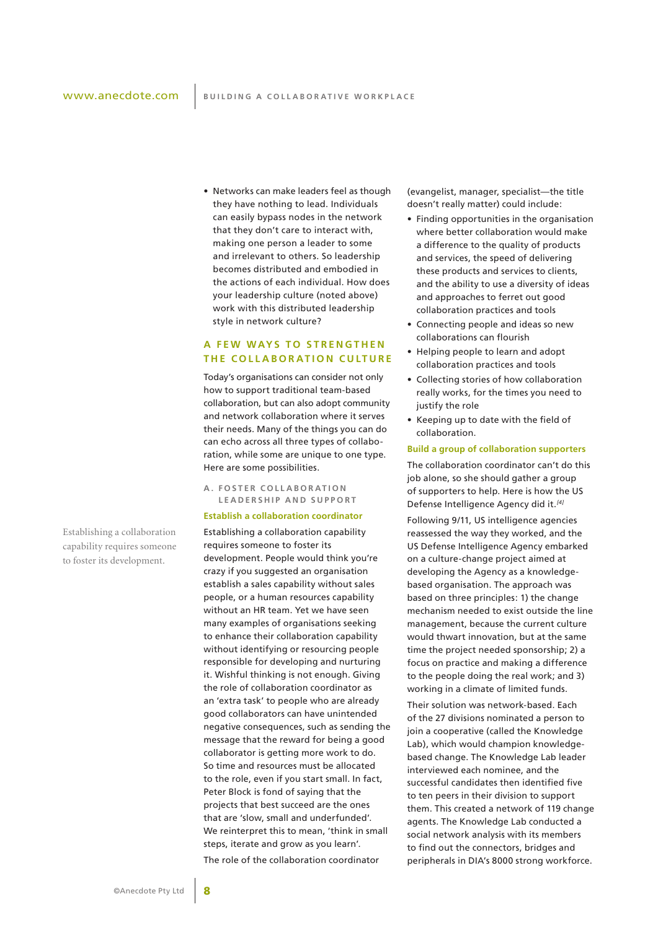• Networks can make leaders feel as though they have nothing to lead. Individuals can easily bypass nodes in the network that they don't care to interact with, making one person a leader to some and irrelevant to others. So leadership becomes distributed and embodied in the actions of each individual. How does your leadership culture (noted above) work with this distributed leadership

style in network culture?

# **A f e w ways t o s t r e n g t h e n THE COLLABORATION CULTURE**

Today's organisations can consider not only how to support traditional team-based collaboration, but can also adopt community and network collaboration where it serves their needs. Many of the things you can do can echo across all three types of collaboration, while some are unique to one type. Here are some possibilities.

**A . F o s t e r c o l l ab o r at i o n LEADERSHIP AND SUPPORT** 

#### **Establish a collaboration coordinator**

Establishing a collaboration capability requires someone to foster its development. People would think you're crazy if you suggested an organisation establish a sales capability without sales people, or a human resources capability without an HR team. Yet we have seen many examples of organisations seeking to enhance their collaboration capability without identifying or resourcing people responsible for developing and nurturing it. Wishful thinking is not enough. Giving the role of collaboration coordinator as an 'extra task' to people who are already good collaborators can have unintended negative consequences, such as sending the message that the reward for being a good collaborator is getting more work to do. So time and resources must be allocated to the role, even if you start small. In fact, Peter Block is fond of saying that the projects that best succeed are the ones that are 'slow, small and underfunded'. We reinterpret this to mean, 'think in small steps, iterate and grow as you learn'. The role of the collaboration coordinator

(evangelist, manager, specialist—the title doesn't really matter) could include:

- Finding opportunities in the organisation where better collaboration would make a difference to the quality of products and services, the speed of delivering these products and services to clients, and the ability to use a diversity of ideas and approaches to ferret out good collaboration practices and tools
- Connecting people and ideas so new collaborations can flourish
- Helping people to learn and adopt collaboration practices and tools
- Collecting stories of how collaboration really works, for the times you need to justify the role
- Keeping up to date with the field of collaboration.

#### **Build a group of collaboration supporters**

The collaboration coordinator can't do this job alone, so she should gather a group of supporters to help. Here is how the US Defense Intelligence Agency did it.*[4]*

Following 9/11, US intelligence agencies reassessed the way they worked, and the US Defense Intelligence Agency embarked on a culture-change project aimed at developing the Agency as a knowledgebased organisation. The approach was based on three principles: 1) the change mechanism needed to exist outside the line management, because the current culture would thwart innovation, but at the same time the project needed sponsorship; 2) a focus on practice and making a difference to the people doing the real work; and 3) working in a climate of limited funds.

Their solution was network-based. Each of the 27 divisions nominated a person to join a cooperative (called the Knowledge Lab), which would champion knowledgebased change. The Knowledge Lab leader interviewed each nominee, and the successful candidates then identified five to ten peers in their division to support them. This created a network of 119 change agents. The Knowledge Lab conducted a social network analysis with its members to find out the connectors, bridges and peripherals in DIA's 8000 strong workforce.

Establishing a collaboration capability requires someone to foster its development.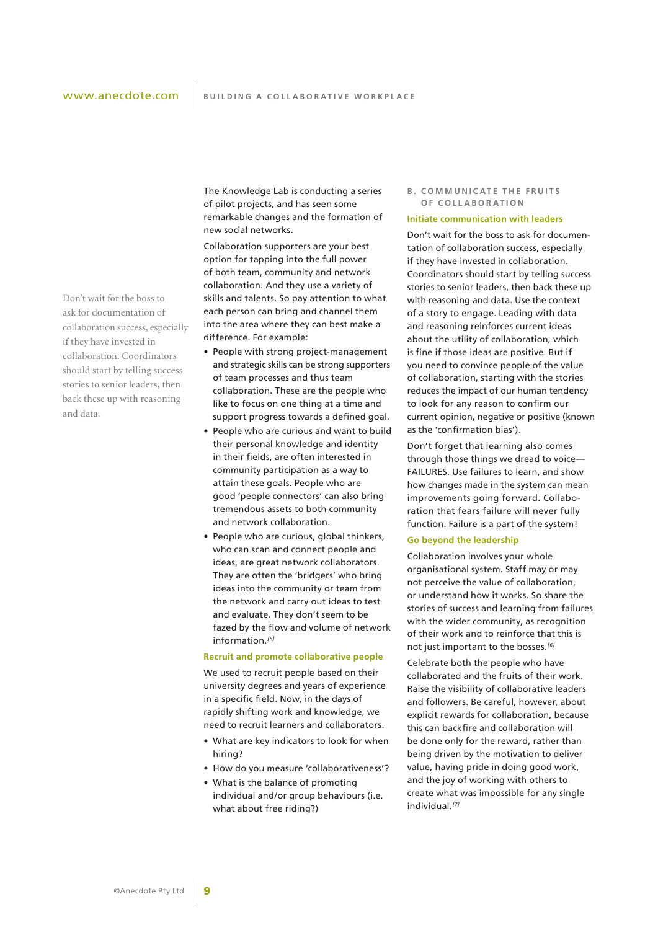Don't wait for the boss to ask for documentation of collaboration success, especially if they have invested in collaboration. Coordinators should start by telling success stories to senior leaders, then back these up with reasoning and data.

The Knowledge Lab is conducting a series of pilot projects, and has seen some remarkable changes and the formation of new social networks.

Collaboration supporters are your best option for tapping into the full power of both team, community and network collaboration. And they use a variety of skills and talents. So pay attention to what each person can bring and channel them into the area where they can best make a difference. For example:

- People with strong project-management and strategic skills can be strong supporters of team processes and thus team collaboration. These are the people who like to focus on one thing at a time and support progress towards a defined goal.
- People who are curious and want to build their personal knowledge and identity in their fields, are often interested in community participation as a way to attain these goals. People who are good 'people connectors' can also bring tremendous assets to both community and network collaboration.
- People who are curious, global thinkers, who can scan and connect people and ideas, are great network collaborators. They are often the 'bridgers' who bring ideas into the community or team from the network and carry out ideas to test and evaluate. They don't seem to be fazed by the flow and volume of network information.*[5]*

#### **Recruit and promote collaborative people**

We used to recruit people based on their university degrees and years of experience in a specific field. Now, in the days of rapidly shifting work and knowledge, we need to recruit learners and collaborators.

- What are key indicators to look for when hiring?
- How do you measure 'collaborativeness'?
- What is the balance of promoting individual and/or group behaviours (i.e. what about free riding?)

#### **B . C o mm u n i c at e t h e f r u i t s o f c o l l ab o r at i o n**

#### **Initiate communication with leaders**

Don't wait for the boss to ask for documentation of collaboration success, especially if they have invested in collaboration. Coordinators should start by telling success stories to senior leaders, then back these up with reasoning and data. Use the context of a story to engage. Leading with data and reasoning reinforces current ideas about the utility of collaboration, which is fine if those ideas are positive. But if you need to convince people of the value of collaboration, starting with the stories reduces the impact of our human tendency to look for any reason to confirm our current opinion, negative or positive (known as the 'confirmation bias').

Don't forget that learning also comes through those things we dread to voice— FAILURES. Use failures to learn, and show how changes made in the system can mean improvements going forward. Collaboration that fears failure will never fully function. Failure is a part of the system!

#### **Go beyond the leadership**

Collaboration involves your whole organisational system. Staff may or may not perceive the value of collaboration, or understand how it works. So share the stories of success and learning from failures with the wider community, as recognition of their work and to reinforce that this is not just important to the bosses.*[6]*

Celebrate both the people who have collaborated and the fruits of their work. Raise the visibility of collaborative leaders and followers. Be careful, however, about explicit rewards for collaboration, because this can backfire and collaboration will be done only for the reward, rather than being driven by the motivation to deliver value, having pride in doing good work, and the joy of working with others to create what was impossible for any single individual.*[7]*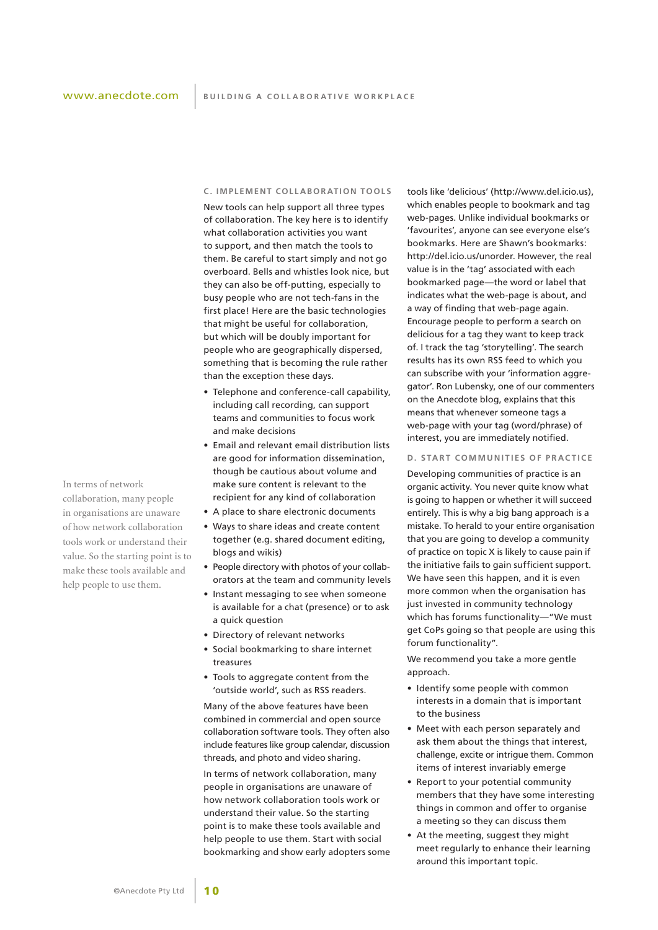#### **C . Implement coll abor ation tools**

New tools can help support all three types of collaboration. The key here is to identify what collaboration activities you want to support, and then match the tools to them. Be careful to start simply and not go overboard. Bells and whistles look nice, but they can also be off-putting, especially to busy people who are not tech-fans in the first place! Here are the basic technologies that might be useful for collaboration, but which will be doubly important for people who are geographically dispersed, something that is becoming the rule rather than the exception these days.

- Telephone and conference-call capability, including call recording, can support teams and communities to focus work and make decisions
- Email and relevant email distribution lists are good for information dissemination, though be cautious about volume and make sure content is relevant to the recipient for any kind of collaboration
- A place to share electronic documents
- Ways to share ideas and create content together (e.g. shared document editing, blogs and wikis)
- People directory with photos of your collaborators at the team and community levels
- Instant messaging to see when someone is available for a chat (presence) or to ask a quick question
- Directory of relevant networks
- Social bookmarking to share internet treasures
- Tools to aggregate content from the 'outside world', such as RSS readers.

Many of the above features have been combined in commercial and open source collaboration software tools. They often also include features like group calendar, discussion threads, and photo and video sharing.

In terms of network collaboration, many people in organisations are unaware of how network collaboration tools work or understand their value. So the starting point is to make these tools available and help people to use them. Start with social bookmarking and show early adopters some tools like 'delicious' (http://www.del.icio.us), which enables people to bookmark and tag web-pages. Unlike individual bookmarks or 'favourites', anyone can see everyone else's bookmarks. Here are Shawn's bookmarks: http://del.icio.us/unorder. However, the real value is in the 'tag' associated with each bookmarked page—the word or label that indicates what the web-page is about, and a way of finding that web-page again. Encourage people to perform a search on delicious for a tag they want to keep track of. I track the tag 'storytelling'. The search results has its own RSS feed to which you can subscribe with your 'information aggregator'. Ron Lubensky, one of our commenters on the Anecdote blog, explains that this means that whenever someone tags a web-page with your tag (word/phrase) of interest, you are immediately notified.

#### **D. START COMMUNITIES OF PRACTICE**

Developing communities of practice is an organic activity. You never quite know what is going to happen or whether it will succeed entirely. This is why a big bang approach is a mistake. To herald to your entire organisation that you are going to develop a community of practice on topic X is likely to cause pain if the initiative fails to gain sufficient support. We have seen this happen, and it is even more common when the organisation has just invested in community technology which has forums functionality—"We must get CoPs going so that people are using this forum functionality".

We recommend you take a more gentle approach.

- Identify some people with common interests in a domain that is important to the business
- Meet with each person separately and ask them about the things that interest, challenge, excite or intrigue them. Common items of interest invariably emerge
- Report to your potential community members that they have some interesting things in common and offer to organise a meeting so they can discuss them
- At the meeting, suggest they might meet regularly to enhance their learning around this important topic.

In terms of network collaboration, many people in organisations are unaware of how network collaboration tools work or understand their value. So the starting point is to make these tools available and help people to use them.